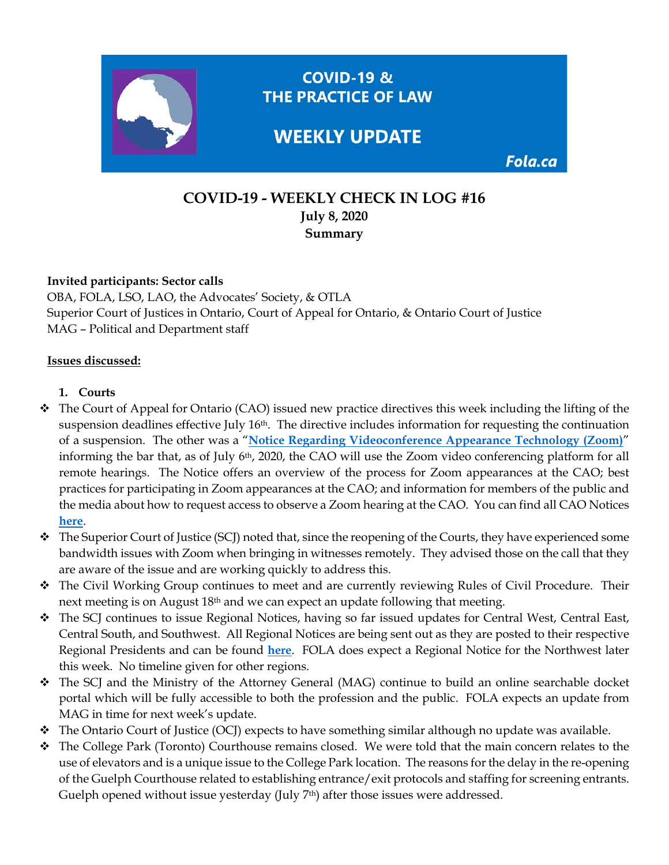

## **COVID-19 - WEEKLY CHECK IN LOG #16 July 8, 2020 Summary**

### **Invited participants: Sector calls**

OBA, FOLA, LSO, LAO, the Advocates' Society, & OTLA Superior Court of Justices in Ontario, Court of Appeal for Ontario, & Ontario Court of Justice MAG – Political and Department staff

#### **Issues discussed:**

### **1. Courts**

- The Court of Appeal for Ontario (CAO) issued new practice directives this week including the lifting of the suspension deadlines effective July 16th. The directive includes information for requesting the continuation of a suspension. The other was a "**[Notice Regarding Videoconference Appearance Technology \(Zoom\)](https://www.ontariocourts.ca/coa/en/notices/covid-19/zoom.htm)**" informing the bar that, as of July 6<sup>th</sup>, 2020, the CAO will use the Zoom video conferencing platform for all remote hearings. The Notice offers an overview of the process for Zoom appearances at the CAO; best practices for participating in Zoom appearances at the CAO; and information for members of the public and the media about how to request access to observe a Zoom hearing at the CAO. You can find all CAO Notices **[here](https://www.ontariocourts.ca/coa/en/notices/covid-19/ochome.htm)**.
- $\bullet$  The Superior Court of Justice (SCJ) noted that, since the reopening of the Courts, they have experienced some bandwidth issues with Zoom when bringing in witnesses remotely. They advised those on the call that they are aware of the issue and are working quickly to address this.
- The Civil Working Group continues to meet and are currently reviewing Rules of Civil Procedure. Their next meeting is on August 18th and we can expect an update following that meeting.
- The SCJ continues to issue Regional Notices, having so far issued updates for Central West, Central East, Central South, and Southwest. All Regional Notices are being sent out as they are posted to their respective Regional Presidents and can be found **[here](https://www.ontariocourts.ca/scj/notices-and-orders-covid-19/#REGIONAL_NOTICES)**. FOLA does expect a Regional Notice for the Northwest later this week. No timeline given for other regions.
- The SCJ and the Ministry of the Attorney General (MAG) continue to build an online searchable docket portal which will be fully accessible to both the profession and the public. FOLA expects an update from MAG in time for next week's update.
- $\triangle$  The Ontario Court of Justice (OCJ) expects to have something similar although no update was available.
- $\hat{\cdot}$  The College Park (Toronto) Courthouse remains closed. We were told that the main concern relates to the use of elevators and is a unique issue to the College Park location. The reasons for the delay in the re-opening of the Guelph Courthouse related to establishing entrance/exit protocols and staffing for screening entrants. Guelph opened without issue yesterday (July 7<sup>th</sup>) after those issues were addressed.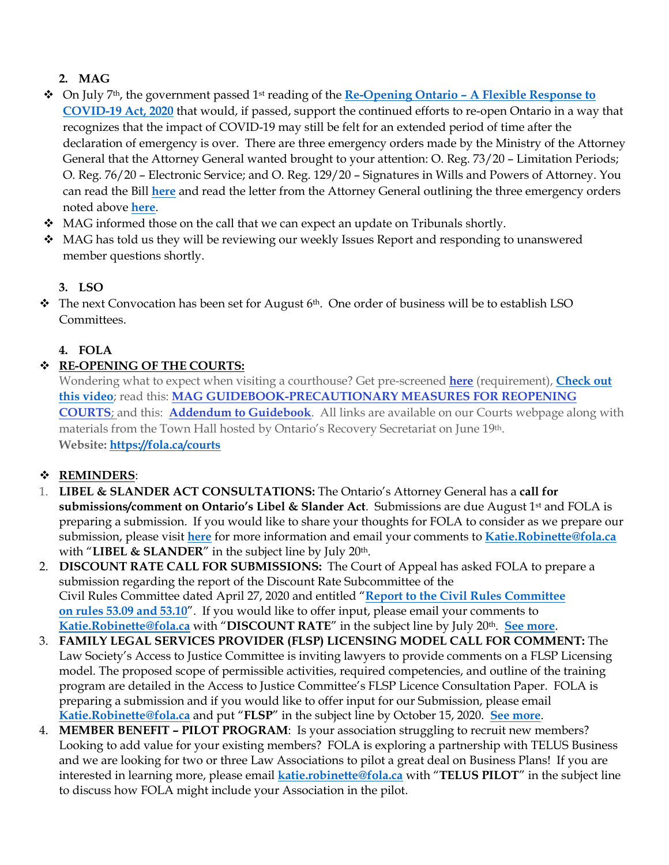# **2. MAG**

- On July 7th, the government passed 1st reading of the **Re-Opening Ontario – [A Flexible Response to](https://www.ola.org/en/legislative-business/bills/parliament-42/session-1/bill-195)  [COVID-19 Act, 2020](https://www.ola.org/en/legislative-business/bills/parliament-42/session-1/bill-195)** that would, if passed, support the continued efforts to re-open Ontario in a way that recognizes that the impact of COVID-19 may still be felt for an extended period of time after the declaration of emergency is over. There are three emergency orders made by the Ministry of the Attorney General that the Attorney General wanted brought to your attention: O. Reg. 73/20 – Limitation Periods; O. Reg. 76/20 – Electronic Service; and O. Reg. 129/20 – Signatures in Wills and Powers of Attorney. You can read the Bill **[here](https://www.ola.org/en/legislative-business/bills/parliament-42/session-1/bill-195)** and read the letter from the Attorney General outlining the three emergency orders noted above **[here](https://img1.wsimg.com/blobby/go/63f6349d-d85d-4511-bc5f-4314d54b45d0/downloads/Re-Opening%20Ontario%20%E2%80%93%20A%20Flexible%20Response%20to%20CO.pdf?ver=1594156184536)**.
- $\bullet$  MAG informed those on the call that we can expect an update on Tribunals shortly.
- MAG has told us they will be reviewing our weekly Issues Report and responding to unanswered member questions shortly.

## **3. LSO**

 $\hat{\mathbf{v}}$  The next Convocation has been set for August 6<sup>th</sup>. One order of business will be to establish LSO Committees.

## **4. FOLA**

## **RE-OPENING OF THE COURTS:**

Wondering what to expect when visiting a courthouse? Get pre-screened **[here](https://covid-19.ontario.ca/courthouse-screening/)** (requirement), **[Check out](https://fola.ca/courts#a295bc60-0234-44b7-bfa2-d5cf12629784)  [this video](https://fola.ca/courts#a295bc60-0234-44b7-bfa2-d5cf12629784)**; read this: **[MAG GUIDEBOOK-PRECAUTIONARY MEASURES FOR REOPENING](https://img1.wsimg.com/blobby/go/63f6349d-d85d-4511-bc5f-4314d54b45d0/downloads/Guidebook_Precautionary%20Measures%20for%20Reopening.pdf?ver=1594034718239)  [COURTS](https://img1.wsimg.com/blobby/go/63f6349d-d85d-4511-bc5f-4314d54b45d0/downloads/Guidebook_Precautionary%20Measures%20for%20Reopening.pdf?ver=1594034718239)**; and this: **[Addendum to Guidebook](https://img1.wsimg.com/blobby/go/63f6349d-d85d-4511-bc5f-4314d54b45d0/downloads/Guidebook_Precautionary%20Measures%20for%20Reopening.pdf?ver=1594034515643)**. All links are available on our Courts webpage along with materials from the Town Hall hosted by Ontario's Recovery Secretariat on June 19th. **Website:<https://fola.ca/courts>**

## **REMINDERS**:

- 1. **LIBEL & SLANDER ACT CONSULTATIONS:** The Ontario's Attorney General has a **call for submissions/comment on Ontario's Libel & Slander Act**. Submissions are due August 1st and FOLA is preparing a submission. If you would like to share your thoughts for FOLA to consider as we prepare our submission, please visit **[here](https://fola.ca/mag#defdce37-b752-4335-a93f-18f7aa8eebf6)** for more information and email your comments to **[Katie.Robinette@fola.ca](mailto:Katie.Robinette@fola.ca)** with "LIBEL & SLANDER" in the subject line by July 20<sup>th</sup>.
- 2. **DISCOUNT RATE CALL FOR SUBMISSIONS:** The Court of Appeal has asked FOLA to prepare a submission regarding the report of the Discount Rate Subcommittee of the Civil Rules Committee dated April 27, 2020 and entitled "**[Report to the Civil Rules Committee](https://www.ontariocourts.ca/coa/en/crc/report-crc.pdf) [on rules 53.09 and 53.10](https://www.ontariocourts.ca/coa/en/crc/report-crc.pdf)**". If you would like to offer input, please email your comments to **[Katie.Robinette@fola.ca](mailto:Katie.Robinette@fola.ca)** with "**DISCOUNT RATE**" in the subject line by July 20th. **[See more](https://fola.ca/courts)**.
- 3. **FAMILY LEGAL SERVICES PROVIDER (FLSP) LICENSING MODEL CALL FOR COMMENT:** The Law Society's Access to Justice Committee is inviting lawyers to provide comments on a FLSP Licensing model. The proposed scope of permissible activities, required competencies, and outline of the training program are detailed in the Access to Justice Committee's FLSP Licence Consultation Paper. FOLA is preparing a submission and if you would like to offer input for our Submission, please email **[Katie.Robinette@fola.ca](mailto:Katie.Robinette@fola.ca)** and put "**FLSP**" in the subject line by October 15, 2020. **[See more](https://fola.ca/family-law-reforms)**.
- 4. **MEMBER BENEFIT – PILOT PROGRAM**: Is your association struggling to recruit new members? Looking to add value for your existing members? FOLA is exploring a partnership with TELUS Business and we are looking for two or three Law Associations to pilot a great deal on Business Plans! If you are interested in learning more, please email **[katie.robinette@fola.ca](mailto:katie.robinette@fola.ca)** with "**TELUS PILOT**" in the subject line to discuss how FOLA might include your Association in the pilot.